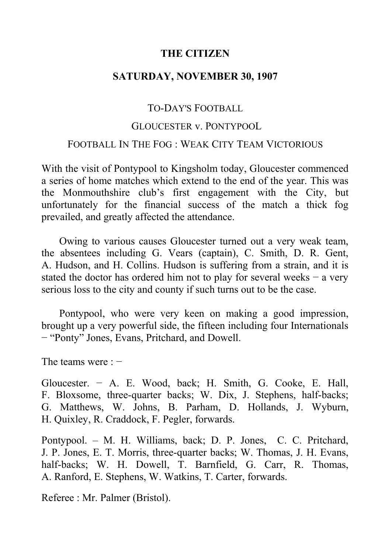# **THE CITIZEN**

# **SATURDAY, NOVEMBER 30, 1907**

# TO-DAY'S FOOTBALL

### GLOUCESTER v. PONTYPOOL

### FOOTBALL IN THE FOG : WEAK CITY TEAM VICTORIOUS

With the visit of Pontypool to Kingsholm today, Gloucester commenced a series of home matches which extend to the end of the year. This was the Monmouthshire club's first engagement with the City, but unfortunately for the financial success of the match a thick fog prevailed, and greatly affected the attendance.

Owing to various causes Gloucester turned out a very weak team, the absentees including G. Vears (captain), C. Smith, D. R. Gent, A. Hudson, and H. Collins. Hudson is suffering from a strain, and it is stated the doctor has ordered him not to play for several weeks − a very serious loss to the city and county if such turns out to be the case.

Pontypool, who were very keen on making a good impression, brought up a very powerful side, the fifteen including four Internationals − "Ponty" Jones, Evans, Pritchard, and Dowell.

The teams were : −

Gloucester. − A. E. Wood, back; H. Smith, G. Cooke, E. Hall, F. Bloxsome, three-quarter backs; W. Dix, J. Stephens, half-backs; G. Matthews, W. Johns, B. Parham, D. Hollands, J. Wyburn, H. Quixley, R. Craddock, F. Pegler, forwards.

Pontypool. – M. H. Williams, back; D. P. Jones, C. C. Pritchard, J. P. Jones, E. T. Morris, three-quarter backs; W. Thomas, J. H. Evans, half-backs; W. H. Dowell, T. Barnfield, G. Carr, R. Thomas, A. Ranford, E. Stephens, W. Watkins, T. Carter, forwards.

Referee : Mr. Palmer (Bristol).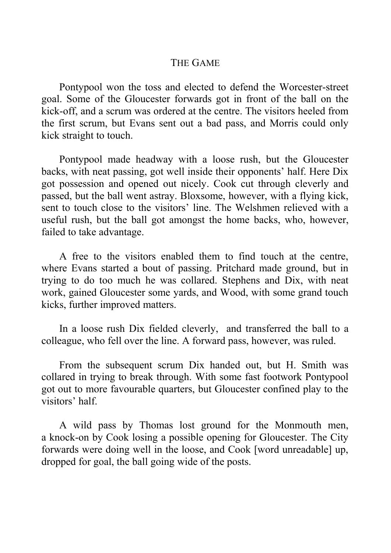# THE GAME

Pontypool won the toss and elected to defend the Worcester-street goal. Some of the Gloucester forwards got in front of the ball on the kick-off, and a scrum was ordered at the centre. The visitors heeled from the first scrum, but Evans sent out a bad pass, and Morris could only kick straight to touch.

Pontypool made headway with a loose rush, but the Gloucester backs, with neat passing, got well inside their opponents' half. Here Dix got possession and opened out nicely. Cook cut through cleverly and passed, but the ball went astray. Bloxsome, however, with a flying kick, sent to touch close to the visitors' line. The Welshmen relieved with a useful rush, but the ball got amongst the home backs, who, however, failed to take advantage.

A free to the visitors enabled them to find touch at the centre, where Evans started a bout of passing. Pritchard made ground, but in trying to do too much he was collared. Stephens and Dix, with neat work, gained Gloucester some yards, and Wood, with some grand touch kicks, further improved matters.

In a loose rush Dix fielded cleverly, and transferred the ball to a colleague, who fell over the line. A forward pass, however, was ruled.

From the subsequent scrum Dix handed out, but H. Smith was collared in trying to break through. With some fast footwork Pontypool got out to more favourable quarters, but Gloucester confined play to the visitors' half.

A wild pass by Thomas lost ground for the Monmouth men, a knock-on by Cook losing a possible opening for Gloucester. The City forwards were doing well in the loose, and Cook [word unreadable] up, dropped for goal, the ball going wide of the posts.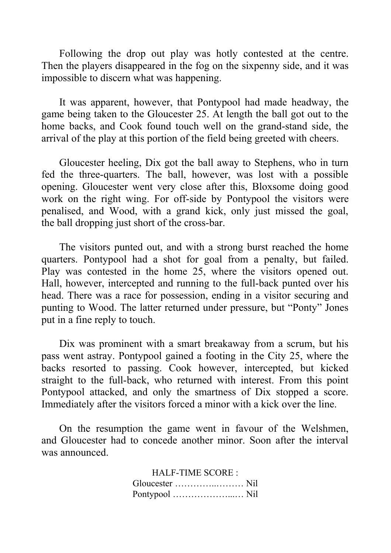Following the drop out play was hotly contested at the centre. Then the players disappeared in the fog on the sixpenny side, and it was impossible to discern what was happening.

It was apparent, however, that Pontypool had made headway, the game being taken to the Gloucester 25. At length the ball got out to the home backs, and Cook found touch well on the grand-stand side, the arrival of the play at this portion of the field being greeted with cheers.

Gloucester heeling, Dix got the ball away to Stephens, who in turn fed the three-quarters. The ball, however, was lost with a possible opening. Gloucester went very close after this, Bloxsome doing good work on the right wing. For off-side by Pontypool the visitors were penalised, and Wood, with a grand kick, only just missed the goal, the ball dropping just short of the cross-bar.

The visitors punted out, and with a strong burst reached the home quarters. Pontypool had a shot for goal from a penalty, but failed. Play was contested in the home 25, where the visitors opened out. Hall, however, intercepted and running to the full-back punted over his head. There was a race for possession, ending in a visitor securing and punting to Wood. The latter returned under pressure, but "Ponty" Jones put in a fine reply to touch.

Dix was prominent with a smart breakaway from a scrum, but his pass went astray. Pontypool gained a footing in the City 25, where the backs resorted to passing. Cook however, intercepted, but kicked straight to the full-back, who returned with interest. From this point Pontypool attacked, and only the smartness of Dix stopped a score. Immediately after the visitors forced a minor with a kick over the line.

On the resumption the game went in favour of the Welshmen, and Gloucester had to concede another minor. Soon after the interval was announced.

> HALF-TIME SCORE : Gloucester …………..……… Nil Pontypool ………………...… Nil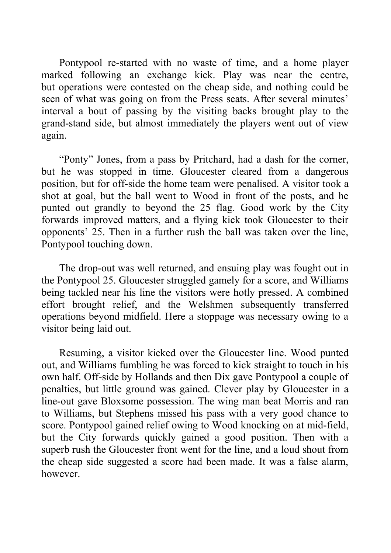Pontypool re-started with no waste of time, and a home player marked following an exchange kick. Play was near the centre, but operations were contested on the cheap side, and nothing could be seen of what was going on from the Press seats. After several minutes' interval a bout of passing by the visiting backs brought play to the grand-stand side, but almost immediately the players went out of view again.

"Ponty" Jones, from a pass by Pritchard, had a dash for the corner, but he was stopped in time. Gloucester cleared from a dangerous position, but for off-side the home team were penalised. A visitor took a shot at goal, but the ball went to Wood in front of the posts, and he punted out grandly to beyond the 25 flag. Good work by the City forwards improved matters, and a flying kick took Gloucester to their opponents' 25. Then in a further rush the ball was taken over the line, Pontypool touching down.

The drop-out was well returned, and ensuing play was fought out in the Pontypool 25. Gloucester struggled gamely for a score, and Williams being tackled near his line the visitors were hotly pressed. A combined effort brought relief, and the Welshmen subsequently transferred operations beyond midfield. Here a stoppage was necessary owing to a visitor being laid out.

Resuming, a visitor kicked over the Gloucester line. Wood punted out, and Williams fumbling he was forced to kick straight to touch in his own half. Off-side by Hollands and then Dix gave Pontypool a couple of penalties, but little ground was gained. Clever play by Gloucester in a line-out gave Bloxsome possession. The wing man beat Morris and ran to Williams, but Stephens missed his pass with a very good chance to score. Pontypool gained relief owing to Wood knocking on at mid-field, but the City forwards quickly gained a good position. Then with a superb rush the Gloucester front went for the line, and a loud shout from the cheap side suggested a score had been made. It was a false alarm, however.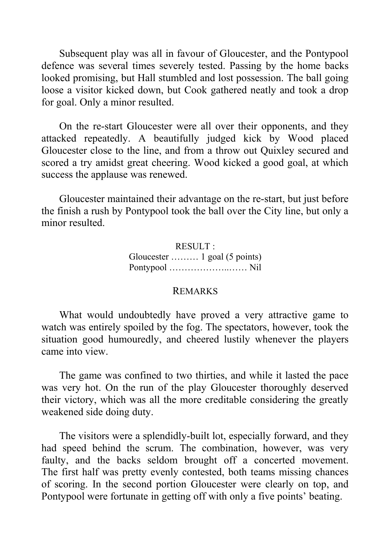Subsequent play was all in favour of Gloucester, and the Pontypool defence was several times severely tested. Passing by the home backs looked promising, but Hall stumbled and lost possession. The ball going loose a visitor kicked down, but Cook gathered neatly and took a drop for goal. Only a minor resulted.

On the re-start Gloucester were all over their opponents, and they attacked repeatedly. A beautifully judged kick by Wood placed Gloucester close to the line, and from a throw out Quixley secured and scored a try amidst great cheering. Wood kicked a good goal, at which success the applause was renewed.

Gloucester maintained their advantage on the re-start, but just before the finish a rush by Pontypool took the ball over the City line, but only a minor resulted.

> RESULT : Gloucester ……… 1 goal (5 points) Pontypool ………………..…… Nil

### REMARKS

What would undoubtedly have proved a very attractive game to watch was entirely spoiled by the fog. The spectators, however, took the situation good humouredly, and cheered lustily whenever the players came into view.

The game was confined to two thirties, and while it lasted the pace was very hot. On the run of the play Gloucester thoroughly deserved their victory, which was all the more creditable considering the greatly weakened side doing duty.

The visitors were a splendidly-built lot, especially forward, and they had speed behind the scrum. The combination, however, was very faulty, and the backs seldom brought off a concerted movement. The first half was pretty evenly contested, both teams missing chances of scoring. In the second portion Gloucester were clearly on top, and Pontypool were fortunate in getting off with only a five points' beating.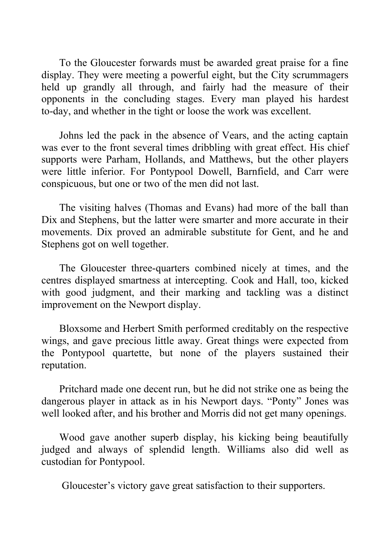To the Gloucester forwards must be awarded great praise for a fine display. They were meeting a powerful eight, but the City scrummagers held up grandly all through, and fairly had the measure of their opponents in the concluding stages. Every man played his hardest to-day, and whether in the tight or loose the work was excellent.

Johns led the pack in the absence of Vears, and the acting captain was ever to the front several times dribbling with great effect. His chief supports were Parham, Hollands, and Matthews, but the other players were little inferior. For Pontypool Dowell, Barnfield, and Carr were conspicuous, but one or two of the men did not last.

The visiting halves (Thomas and Evans) had more of the ball than Dix and Stephens, but the latter were smarter and more accurate in their movements. Dix proved an admirable substitute for Gent, and he and Stephens got on well together.

The Gloucester three-quarters combined nicely at times, and the centres displayed smartness at intercepting. Cook and Hall, too, kicked with good judgment, and their marking and tackling was a distinct improvement on the Newport display.

Bloxsome and Herbert Smith performed creditably on the respective wings, and gave precious little away. Great things were expected from the Pontypool quartette, but none of the players sustained their reputation.

Pritchard made one decent run, but he did not strike one as being the dangerous player in attack as in his Newport days. "Ponty" Jones was well looked after, and his brother and Morris did not get many openings.

Wood gave another superb display, his kicking being beautifully judged and always of splendid length. Williams also did well as custodian for Pontypool.

Gloucester's victory gave great satisfaction to their supporters.